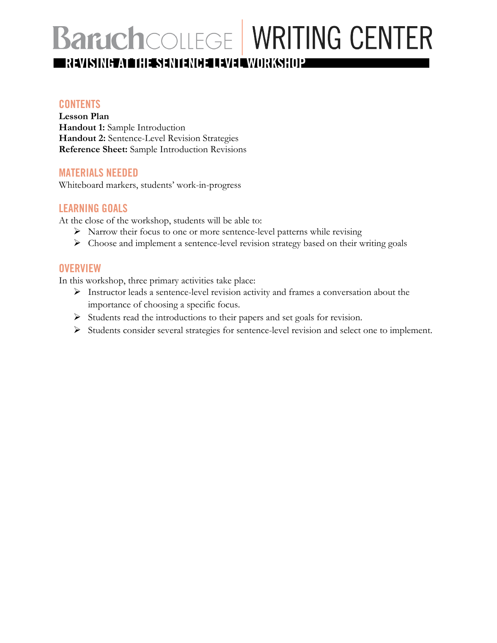# **BaruchCOLLEGE WRITING CENTER REVISING AT THE SENTENCE LEVEL WORKSHOP**

### **CONTENTS**

**Lesson Plan Handout 1:** Sample Introduction **Handout 2:** Sentence-Level Revision Strategies **Reference Sheet:** Sample Introduction Revisions

### **MATERIALS NEEDED**

Whiteboard markers, students' work-in-progress

### **LEARNING GOALS**

At the close of the workshop, students will be able to:

- $\triangleright$  Narrow their focus to one or more sentence-level patterns while revising
- Ø Choose and implement a sentence-level revision strategy based on their writing goals

### **OVERVIEW**

In this workshop, three primary activities take place:

- Ø Instructor leads a sentence-level revision activity and frames a conversation about the importance of choosing a specific focus.
- $\triangleright$  Students read the introductions to their papers and set goals for revision.
- Ø Students consider several strategies for sentence-level revision and select one to implement.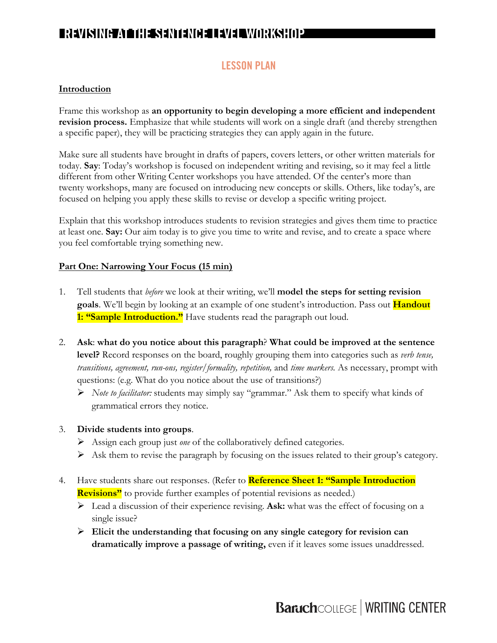### **LESSON PLAN**

### **Introduction**

Frame this workshop as **an opportunity to begin developing a more efficient and independent revision process.** Emphasize that while students will work on a single draft (and thereby strengthen a specific paper), they will be practicing strategies they can apply again in the future.

Make sure all students have brought in drafts of papers, covers letters, or other written materials for today. **Say**: Today's workshop is focused on independent writing and revising, so it may feel a little different from other Writing Center workshops you have attended. Of the center's more than twenty workshops, many are focused on introducing new concepts or skills. Others, like today's, are focused on helping you apply these skills to revise or develop a specific writing project.

Explain that this workshop introduces students to revision strategies and gives them time to practice at least one. **Say:** Our aim today is to give you time to write and revise, and to create a space where you feel comfortable trying something new.

#### **Part One: Narrowing Your Focus (15 min)**

- 1. Tell students that *before* we look at their writing, we'll **model the steps for setting revision goals**. We'll begin by looking at an example of one student's introduction. Pass out **Handout**  1: "Sample Introduction." Have students read the paragraph out loud.
- 2. **Ask**: **what do you notice about this paragraph**? **What could be improved at the sentence level?** Record responses on the board, roughly grouping them into categories such as *verb tense, transitions, agreement, run-ons, register/formality, repetition,* and *time markers.* As necessary, prompt with questions: (e.g. What do you notice about the use of transitions?)
	- Ø *Note to facilitator:* students may simply say "grammar." Ask them to specify what kinds of grammatical errors they notice.

#### 3. **Divide students into groups**.

- Ø Assign each group just *one* of the collaboratively defined categories.
- $\triangleright$  Ask them to revise the paragraph by focusing on the issues related to their group's category.
- 4. Have students share out responses. (Refer to **Reference Sheet 1: "Sample Introduction Revisions**" to provide further examples of potential revisions as needed.)
	- Ø Lead a discussion of their experience revising. **Ask:** what was the effect of focusing on a single issue?
	- Ø **Elicit the understanding that focusing on any single category for revision can dramatically improve a passage of writing,** even if it leaves some issues unaddressed.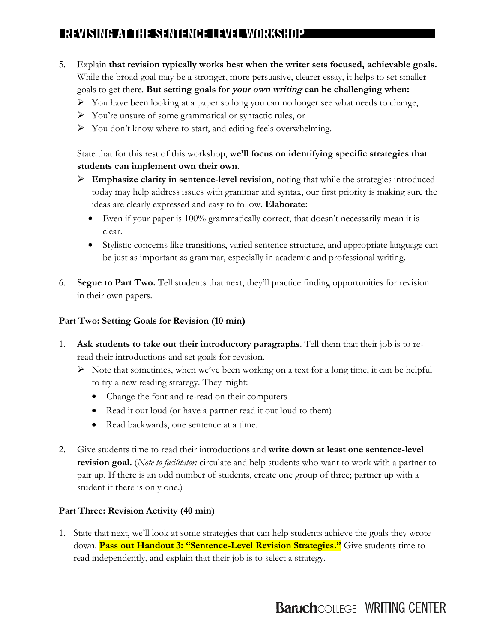- 5. Explain **that revision typically works best when the writer sets focused, achievable goals.** While the broad goal may be a stronger, more persuasive, clearer essay, it helps to set smaller goals to get there. **But setting goals for your own writing can be challenging when:**
	- $\triangleright$  You have been looking at a paper so long you can no longer see what needs to change,
	- Ø You're unsure of some grammatical or syntactic rules, or
	- $\triangleright$  You don't know where to start, and editing feels overwhelming.

State that for this rest of this workshop, **we'll focus on identifying specific strategies that students can implement own their own**.

- Ø **Emphasize clarity in sentence-level revision**, noting that while the strategies introduced today may help address issues with grammar and syntax, our first priority is making sure the ideas are clearly expressed and easy to follow. **Elaborate:**
	- Even if your paper is 100% grammatically correct, that doesn't necessarily mean it is clear.
	- Stylistic concerns like transitions, varied sentence structure, and appropriate language can be just as important as grammar, especially in academic and professional writing.
- 6. **Segue to Part Two.** Tell students that next, they'll practice finding opportunities for revision in their own papers.

### **Part Two: Setting Goals for Revision (10 min)**

- 1. **Ask students to take out their introductory paragraphs**. Tell them that their job is to reread their introductions and set goals for revision.
	- $\triangleright$  Note that sometimes, when we've been working on a text for a long time, it can be helpful to try a new reading strategy. They might:
		- Change the font and re-read on their computers
		- Read it out loud (or have a partner read it out loud to them)
		- Read backwards, one sentence at a time.
- 2. Give students time to read their introductions and **write down at least one sentence-level revision goal.** (*Note to facilitator:* circulate and help students who want to work with a partner to pair up. If there is an odd number of students, create one group of three; partner up with a student if there is only one.)

#### **Part Three: Revision Activity (40 min)**

1. State that next, we'll look at some strategies that can help students achieve the goals they wrote down. **Pass out Handout 3: "Sentence-Level Revision Strategies."** Give students time to read independently, and explain that their job is to select a strategy.

# **Baruch**COLLEGE | WRITING CENTER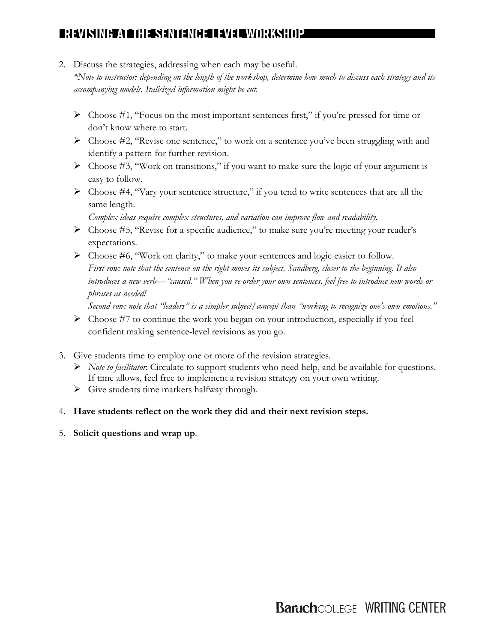2. Discuss the strategies, addressing when each may be useful.

*\*Note to instructor: depending on the length of the workshop, determine how much to discuss each strategy and its accompanying models. Italicized information might be cut.* 

- $\triangleright$  Choose #1, "Focus on the most important sentences first," if you're pressed for time or don't know where to start.
- $\triangleright$  Choose #2, "Revise one sentence," to work on a sentence you've been struggling with and identify a pattern for further revision.
- $\triangleright$  Choose #3, "Work on transitions," if you want to make sure the logic of your argument is easy to follow.
- Ø Choose #4, "Vary your sentence structure," if you tend to write sentences that are all the same length.

*Complex ideas require complex structures, and variation can improve flow and readability.* 

- $\triangleright$  Choose #5, "Revise for a specific audience," to make sure you're meeting your reader's expectations.
- $\triangleright$  Choose #6, "Work on clarity," to make your sentences and logic easier to follow. *First row: note that the sentence on the right moves its subject, Sandberg, closer to the beginning. It also introduces a new verb—"caused." When you re-order your own sentences, feel free to introduce new words or phrases as needed!*

*Second row: note that "leaders" is a simpler subject/concept than "working to recognize one's own emotions."* 

- $\triangleright$  Choose #7 to continue the work you began on your introduction, especially if you feel confident making sentence-level revisions as you go.
- 3. Give students time to employ one or more of the revision strategies.
	- Ø *Note to facilitator*: Circulate to support students who need help, and be available for questions. If time allows, feel free to implement a revision strategy on your own writing.
	- $\triangleright$  Give students time markers halfway through.
- 4. **Have students reflect on the work they did and their next revision steps.**
- 5. **Solicit questions and wrap up**.

**Baruch**COLLEGE | WRITING CENTER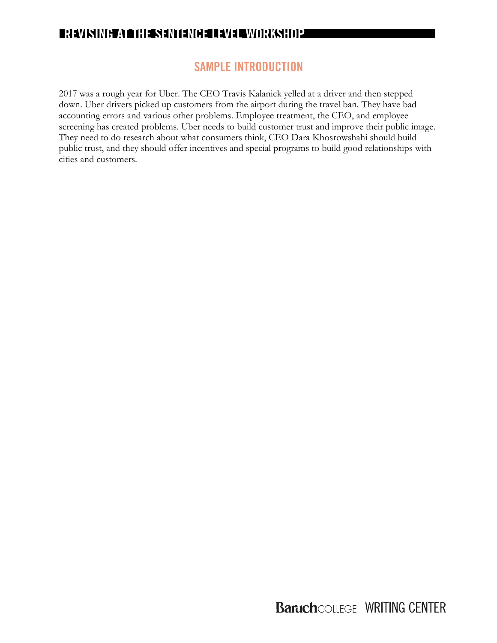### **SAMPLE INTRODUCTION**

2017 was a rough year for Uber. The CEO Travis Kalanick yelled at a driver and then stepped down. Uber drivers picked up customers from the airport during the travel ban. They have bad accounting errors and various other problems. Employee treatment, the CEO, and employee screening has created problems. Uber needs to build customer trust and improve their public image. They need to do research about what consumers think, CEO Dara Khosrowshahi should build public trust, and they should offer incentives and special programs to build good relationships with cities and customers.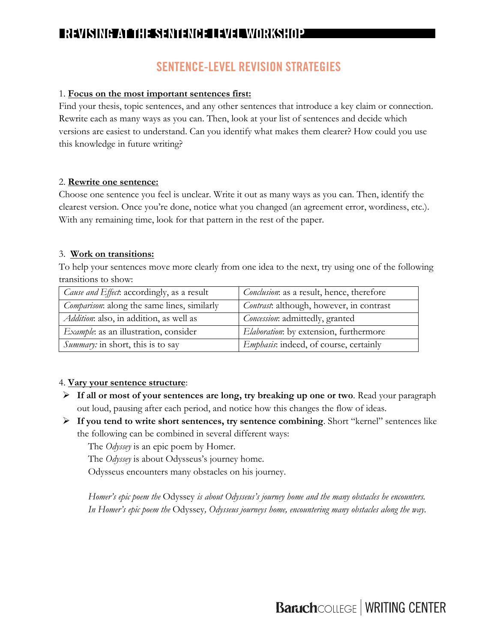## **SENTENCE-LEVEL REVISION STRATEGIES**

### 1. **Focus on the most important sentences first:**

Find your thesis, topic sentences, and any other sentences that introduce a key claim or connection. Rewrite each as many ways as you can. Then, look at your list of sentences and decide which versions are easiest to understand. Can you identify what makes them clearer? How could you use this knowledge in future writing?

#### 2. **Rewrite one sentence:**

Choose one sentence you feel is unclear. Write it out as many ways as you can. Then, identify the clearest version. Once you're done, notice what you changed (an agreement error, wordiness, etc.). With any remaining time, look for that pattern in the rest of the paper.

### 3. **Work on transitions:**

To help your sentences move more clearly from one idea to the next, try using one of the following transitions to show:

| <i>Cause and Effect</i> : accordingly, as a result  | <i>Conclusion</i> : as a result, hence, therefore |
|-----------------------------------------------------|---------------------------------------------------|
| <i>Comparison</i> : along the same lines, similarly | <i>Contrast</i> : although, however, in contrast  |
| <i>Addition</i> : also, in addition, as well as     | <i>Concession</i> : admittedly, granted           |
| <i>Example</i> : as an illustration, consider       | <i>Elaboration</i> : by extension, furthermore    |
| Summary: in short, this is to say                   | <i>Emphasis</i> : indeed, of course, certainly    |

### 4. **Vary your sentence structure**:

- Ø **If all or most of your sentences are long, try breaking up one or two**. Read your paragraph out loud, pausing after each period, and notice how this changes the flow of ideas.
- Ø **If you tend to write short sentences, try sentence combining**. Short "kernel" sentences like the following can be combined in several different ways:

The *Odyssey* is an epic poem by Homer.

The *Odyssey* is about Odysseus's journey home.

Odysseus encounters many obstacles on his journey.

*Homer's epic poem the* Odyssey *is about Odysseus's journey home and the many obstacles he encounters. In Homer's epic poem the* Odyssey*, Odysseus journeys home, encountering many obstacles along the way.*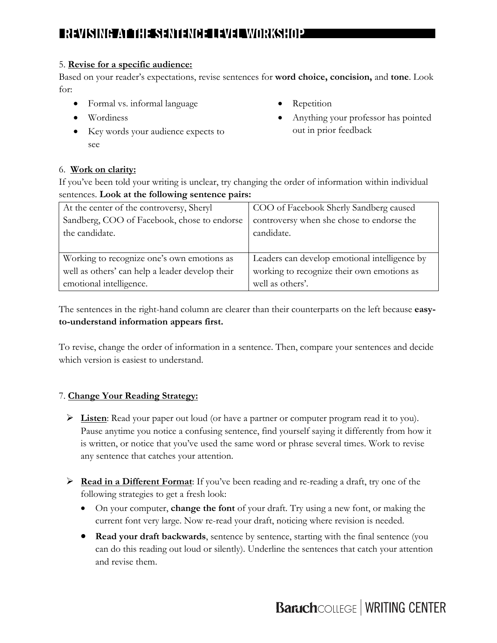### 5. **Revise for a specific audience:**

Based on your reader's expectations, revise sentences for **word choice, concision,** and **tone**. Look for:

- Formal vs. informal language
- Wordiness
- Key words your audience expects to see
- **Repetition**
- Anything your professor has pointed out in prior feedback

### 6. **Work on clarity:**

If you've been told your writing is unclear, try changing the order of information within individual sentences. **Look at the following sentence pairs:**

| At the center of the controversy, Sheryl        | COO of Facebook Sherly Sandberg caused        |
|-------------------------------------------------|-----------------------------------------------|
| Sandberg, COO of Facebook, chose to endorse     | controversy when she chose to endorse the     |
| the candidate.                                  | candidate.                                    |
|                                                 |                                               |
| Working to recognize one's own emotions as      | Leaders can develop emotional intelligence by |
| well as others' can help a leader develop their | working to recognize their own emotions as    |
| emotional intelligence.                         | well as others'.                              |

The sentences in the right-hand column are clearer than their counterparts on the left because **easyto-understand information appears first.**

To revise, change the order of information in a sentence. Then, compare your sentences and decide which version is easiest to understand.

### 7. **Change Your Reading Strategy:**

- Ø **Listen**: Read your paper out loud (or have a partner or computer program read it to you). Pause anytime you notice a confusing sentence, find yourself saying it differently from how it is written, or notice that you've used the same word or phrase several times. Work to revise any sentence that catches your attention.
- Ø **Read in a Different Format**: If you've been reading and re-reading a draft, try one of the following strategies to get a fresh look:
	- On your computer, **change the font** of your draft. Try using a new font, or making the current font very large. Now re-read your draft, noticing where revision is needed.
	- **Read your draft backwards**, sentence by sentence, starting with the final sentence (you can do this reading out loud or silently). Underline the sentences that catch your attention and revise them.